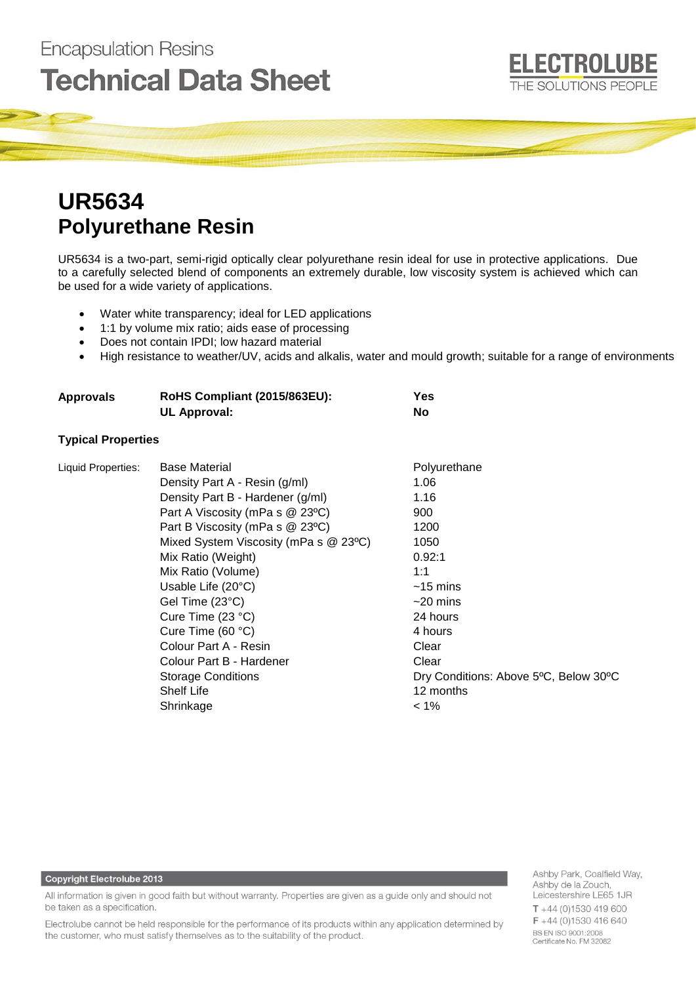# **Technical Data Sheet**

# **UR5634 Polyurethane Resin**

**Encapsulation Resins** 

UR5634 is a two-part, semi-rigid optically clear polyurethane resin ideal for use in protective applications. Due to a carefully selected blend of components an extremely durable, low viscosity system is achieved which can be used for a wide variety of applications.

- Water white transparency; ideal for LED applications
- 1:1 by volume mix ratio; aids ease of processing
- Does not contain IPDI; low hazard material
- High resistance to weather/UV, acids and alkalis, water and mould growth; suitable for a range of environments

| <b>Approvals</b> | RoHS Compliant (2015/863EU): | Yes |
|------------------|------------------------------|-----|
|                  | UL Approval:                 | No  |
|                  |                              |     |

# **Typical Properties**

| Liquid Properties: | <b>Base Material</b>                  | Polyurethane                          |
|--------------------|---------------------------------------|---------------------------------------|
|                    | Density Part A - Resin (g/ml)         | 1.06                                  |
|                    | Density Part B - Hardener (g/ml)      | 1.16                                  |
|                    | Part A Viscosity (mPa s @ 23°C)       | 900                                   |
|                    | Part B Viscosity (mPa s @ 23°C)       | 1200                                  |
|                    | Mixed System Viscosity (mPa s @ 23°C) | 1050                                  |
|                    | Mix Ratio (Weight)                    | 0.92:1                                |
|                    | Mix Ratio (Volume)                    | 1:1                                   |
|                    | Usable Life $(20^{\circ}C)$           | $~15 \; \mathrm{mins}$                |
|                    | Gel Time (23°C)                       | $~20 \; \mathrm{mins}$                |
|                    | Cure Time (23 °C)                     | 24 hours                              |
|                    | Cure Time (60 °C)                     | 4 hours                               |
|                    | Colour Part A - Resin                 | Clear                                 |
|                    | Colour Part B - Hardener              | Clear                                 |
|                    | <b>Storage Conditions</b>             | Dry Conditions: Above 5°C, Below 30°C |
|                    | <b>Shelf Life</b>                     | 12 months                             |
|                    | Shrinkage                             | $< 1\%$                               |
|                    |                                       |                                       |

## **Copyright Electrolube 2013**

All information is given in good faith but without warranty. Properties are given as a guide only and should not be taken as a specification.

Electrolube cannot be held responsible for the performance of its products within any application determined by the customer, who must satisfy themselves as to the suitability of the product.

Ashby Park, Coalfield Way, Ashby de la Zouch, Leicestershire LE65 1JR  $T + 44(0)1530419600$  $F + 44(0)1530416640$ BS EN ISO 9001:2008 Certificate No. FM 32082

**ELECTROLUBE** 

THE SOLUTIONS PEOPLE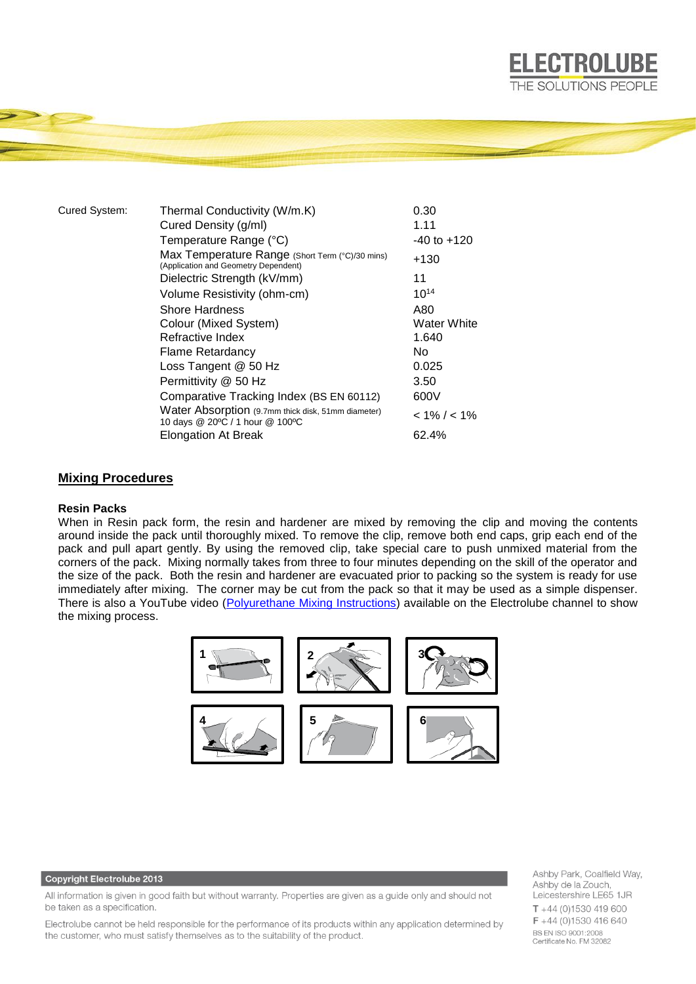| Cured System: | Thermal Conductivity (W/m.K)                                                            | 0.30            |
|---------------|-----------------------------------------------------------------------------------------|-----------------|
|               | Cured Density (g/ml)                                                                    | 1.11            |
|               | Temperature Range (°C)                                                                  | $-40$ to $+120$ |
|               | Max Temperature Range (Short Term (°C)/30 mins)<br>(Application and Geometry Dependent) | +130            |
|               | Dielectric Strength (kV/mm)                                                             | 11              |
|               | Volume Resistivity (ohm-cm)                                                             | $10^{14}$       |
|               | <b>Shore Hardness</b>                                                                   | A80             |
|               | Colour (Mixed System)                                                                   | Water White     |
|               | Refractive Index                                                                        | 1.640           |
|               | <b>Flame Retardancy</b>                                                                 | No.             |
|               | Loss Tangent @ 50 Hz                                                                    | 0.025           |
|               | Permittivity @ 50 Hz                                                                    | 3.50            |
|               | Comparative Tracking Index (BS EN 60112)                                                | 600V            |
|               | Water Absorption (9.7mm thick disk, 51mm diameter)<br>10 days @ 20°C / 1 hour @ 100°C   | $< 1\% / < 1\%$ |
|               | Elongation At Break                                                                     | 62.4%           |
|               |                                                                                         |                 |

### **Mixing Procedures**

#### **Resin Packs**

When in Resin pack form, the resin and hardener are mixed by removing the clip and moving the contents around inside the pack until thoroughly mixed. To remove the clip, remove both end caps, grip each end of the pack and pull apart gently. By using the removed clip, take special care to push unmixed material from the corners of the pack. Mixing normally takes from three to four minutes depending on the skill of the operator and the size of the pack. Both the resin and hardener are evacuated prior to packing so the system is ready for use immediately after mixing. The corner may be cut from the pack so that it may be used as a simple dispenser. There is also a YouTube video [\(Polyurethane Mixing Instructions\)](https://www.youtube.com/watch?v=hmyCY7GaHoo) available on the Electrolube channel to show the mixing process.



#### **Copyright Electrolube 2013**

All information is given in good faith but without warranty. Properties are given as a guide only and should not be taken as a specification.

Electrolube cannot be held responsible for the performance of its products within any application determined by the customer, who must satisfy themselves as to the suitability of the product.

Ashby Park, Coalfield Way, Ashby de la Zouch, Leicestershire LE65 1JR  $T + 44$  (0)1530 419 600 F +44 (0)1530 416 640 **BS EN ISO 9001:2008** Certificate No. FM 32082

**ELECTROLUBE** THE SOLUTIONS PEOPLE